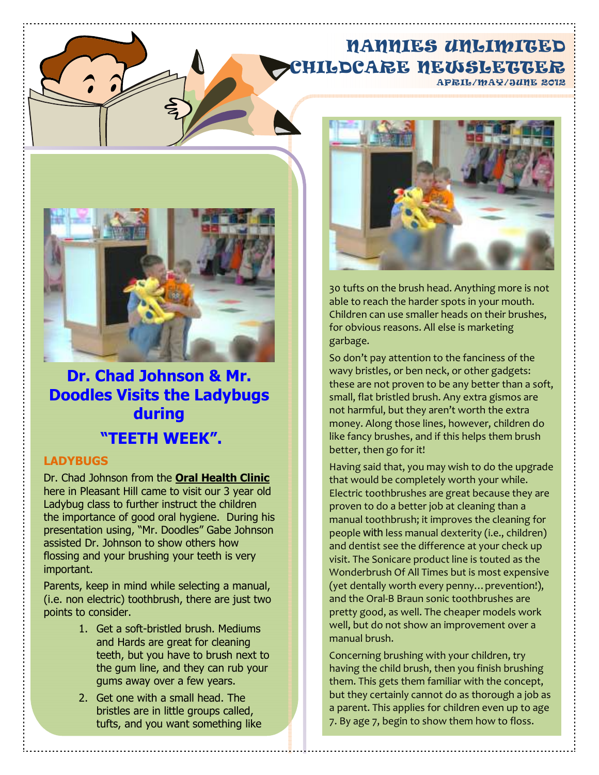### NANNIES UNLIMITED CHILDCARE NEWSLETTER APRIL/MAY/JUNE 2012



**Dr. Chad Johnson & Mr. Doodles Visits the Ladybugs during "TEETH WEEK".** 

#### **LADYBUGS**

Dr. Chad Johnson from the **Oral Health Clinic** here in Pleasant Hill came to visit our 3 year old Ladybug class to further instruct the children the importance of good oral hygiene. During his presentation using, "Mr. Doodles" Gabe Johnson assisted Dr. Johnson to show others how flossing and your brushing your teeth is very important.

Parents, keep in mind while selecting a manual, (i.e. non electric) toothbrush, there are just two points to consider.

- 1. Get a soft-bristled brush. Mediums and Hards are great for cleaning teeth, but you have to brush next to the gum line, and they can rub your gums away over a few years.
- 2. Get one with a small head. The bristles are in little groups called, tufts, and you want something like



30 tufts on the brush head. Anything more is not able to reach the harder spots in your mouth. Children can use smaller heads on their brushes, for obvious reasons. All else is marketing garbage.

So don't pay attention to the fanciness of the wavy bristles, or ben neck, or other gadgets: these are not proven to be any better than a soft, small, flat bristled brush. Any extra gismos are not harmful, but they aren't worth the extra money. Along those lines, however, children do like fancy brushes, and if this helps them brush better, then go for it!

Having said that, you may wish to do the upgrade that would be completely worth your while. Electric toothbrushes are great because they are proven to do a better job at cleaning than a manual toothbrush; it improves the cleaning for people with less manual dexterity (i.e., children) and dentist see the difference at your check up visit. The Sonicare product line is touted as the Wonderbrush Of All Times but is most expensive (yet dentally worth every penny…prevention!), and the Oral-B Braun sonic toothbrushes are pretty good, as well. The cheaper models work well, but do not show an improvement over a manual brush.

Concerning brushing with your children, try having the child brush, then you finish brushing them. This gets them familiar with the concept, but they certainly cannot do as thorough a job as a parent. This applies for children even up to age 7. By age 7, begin to show them how to floss.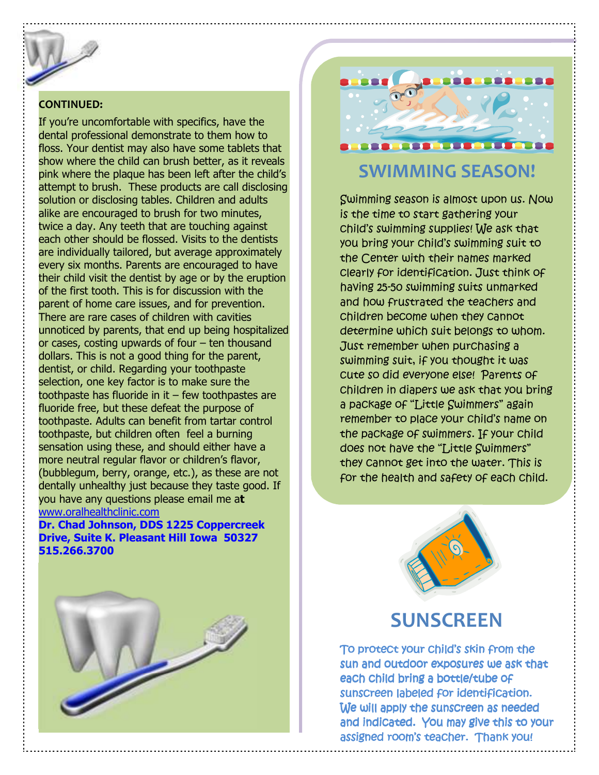### **CONTINUED:**

If you're uncomfortable with specifics, have the dental professional demonstrate to them how to floss. Your dentist may also have some tablets that show where the child can brush better, as it reveals pink where the plaque has been left after the child's attempt to brush. These products are call disclosing solution or disclosing tables. Children and adults alike are encouraged to brush for two minutes, twice a day. Any teeth that are touching against each other should be flossed. Visits to the dentists are individually tailored, but average approximately every six months. Parents are encouraged to have their child visit the dentist by age or by the eruption of the first tooth. This is for discussion with the parent of home care issues, and for prevention. There are rare cases of children with cavities unnoticed by parents, that end up being hospitalized or cases, costing upwards of four – ten thousand dollars. This is not a good thing for the parent, dentist, or child. Regarding your toothpaste selection, one key factor is to make sure the toothpaste has fluoride in it  $-$  few toothpastes are fluoride free, but these defeat the purpose of toothpaste. Adults can benefit from tartar control toothpaste, but children often feel a burning sensation using these, and should either have a more neutral regular flavor or children's flavor, (bubblegum, berry, orange, etc.), as these are not dentally unhealthy just because they taste good. If you have any questions please email me a**t** www.oralhealthclinic.com

**Dr. Chad Johnson, DDS 1225 Coppercreek Drive, Suite K. Pleasant Hill Iowa 50327 515.266.3700**





# **SWIMMING SEASON!**

Swimming season is almost upon us. Now is the time to start gathering your child's swimming supplies! We ask that you bring your child's swimming suit to the Center with their names marked clearly for identification. Just think of having 25-50 swimming suits unmarked and how frustrated the teachers and children become when they cannot determine which suit belongs to whom. Just remember when purchasing a swimming suit, if you thought it was cute so did everyone else! Parents of children in diapers we ask that you bring a package of "Little Swimmers" again remember to place your child's name on the package of swimmers. If your child does not have the "Little Swimmers" they cannot get into the water. This is for the health and safety of each child.



## **SUNSCREEN**

To protect your child's skin from the sun and outdoor exposures we ask that each child bring a bottle/tube of sunscreen labeled for identification. We will apply the sunscreen as needed and indicated. You may give this to your assigned room's teacher. Thank you!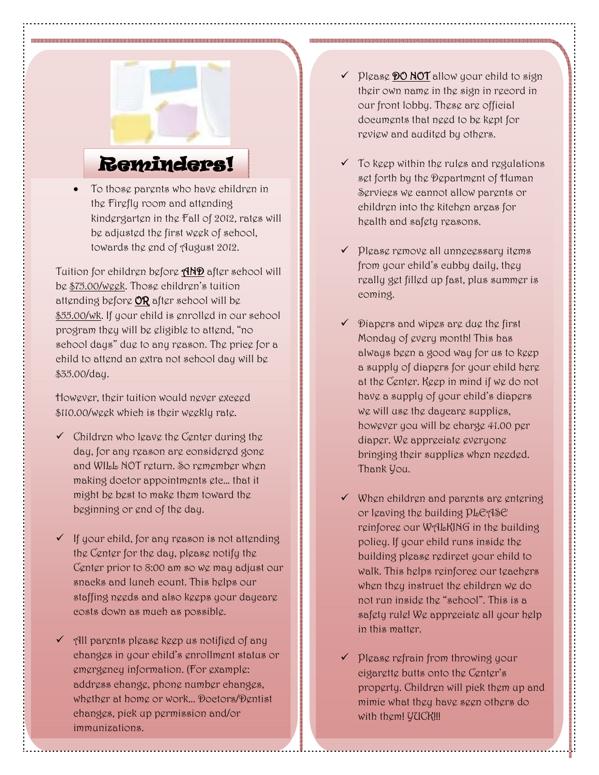# Reminders!

• To those parents who have children in the Firefly room and attending kindergarten in the Fall of 2012, rates will be adjusted the first week of school, towards the end of August 2012.

Tuition for children before **AND** after school will be \$75.00/week. Those children's tuition attending before OR after school will be \$55.00/wk. If your child is enrolled in our school program they will be eligible to attend, "no school days" due to any reason. The price for a child to attend an extra not school day will be \$35.00/day.

However, their tuition would never exceed \$110.00/week which is their weekly rate.

- $\checkmark$  Children who leave the Center during the day, for any reason are considered gone and WILL NOT return. So remember when making doctor appointments etc… that it might be best to make them toward the beginning or end of the day.
- $\checkmark$  If your child, for any reason is not attending the Center for the day, please notify the Center prior to 8:00 am so we may adjust our snacks and lunch count. This helps our staffing needs and also keeps your daycare costs down as much as possible.
- $\checkmark$  all parents please keep us notified of any changes in your child's enrollment status or emergency information. (For example: address change, phone number changes, whether at home or work... Doctors/Dentist changes, pick up permission and/or immunizations.
- $\checkmark$  please **DO NOT** allow your child to sign their own name in the sign in record in our front lobby. These are official documents that need to be kept for review and audited by others.
- $\checkmark$  To keep within the rules and regulations set forth by the Department of Human Services we cannot allow parents or children into the kitchen areas for health and safety reasons.
- $\checkmark$  please remove all unnecessary items from your child's cubby daily, they really get filled up fast, plus summer is coming.
- $\checkmark$  Diapers and wipes are due the first Monday of every month! This has always been a good way for us to keep a supply of diapers for your child here at the Center. Keep in mind if we do not have a supply of your child's diapers we will use the daycare supplies, however you will be charge 41.00 per diaper. We appreciate everyone bringing their supplies when needed. Thank You.
- $\checkmark$  When children and parents are entering or leaving the building PLEASE reinforce our WALKING in the building policy. If your child runs inside the building please redirect your child to walk. This helps reinforce our teachers when they instruct the children we do not run inside the "school". This is a safety rule! We appreciate all your help in this matter.
- $\checkmark$  please refrain from throwing your cigarette butts onto the Center's property. Children will pick them up and mimic what they have seen others do with them! YUCK!!!